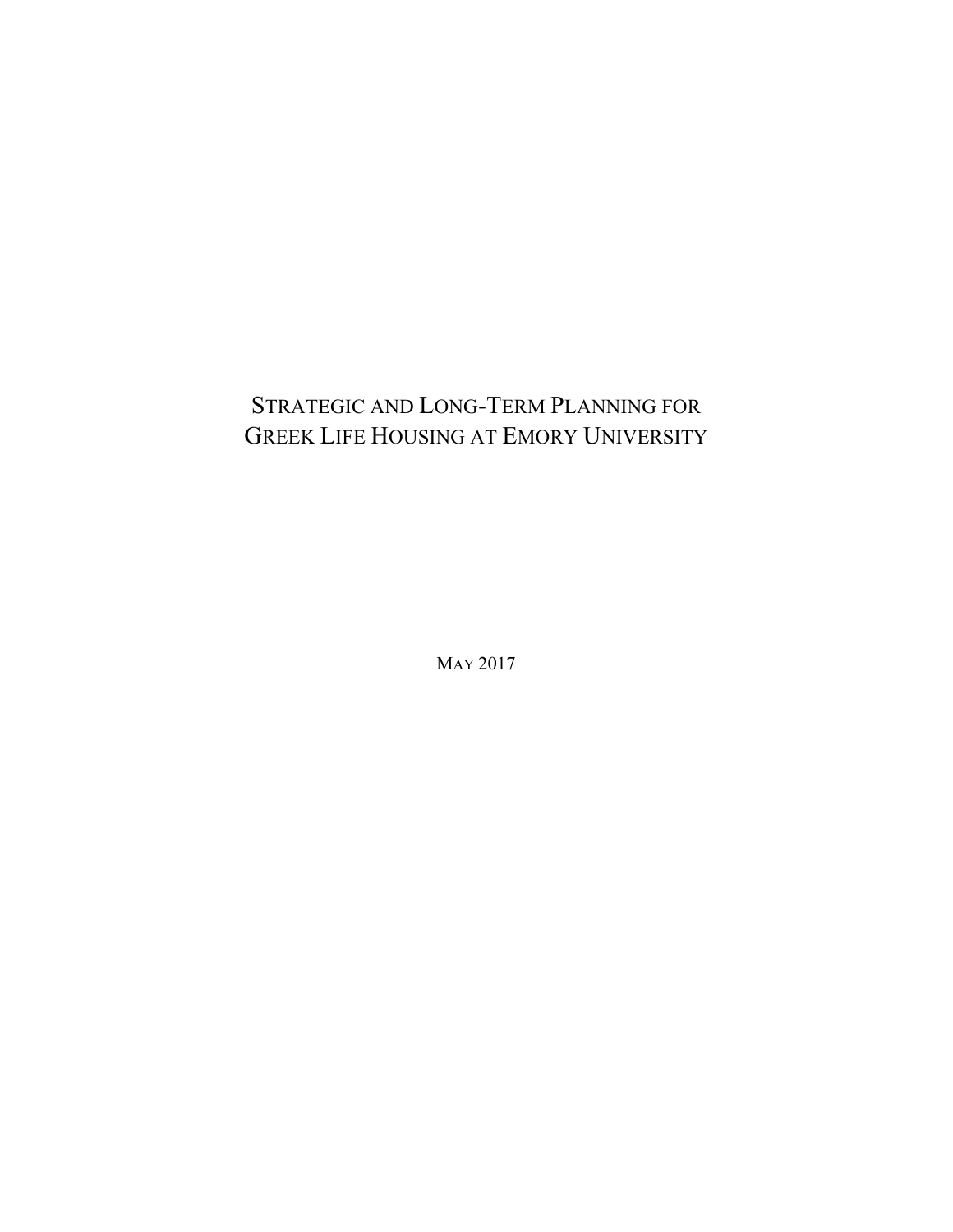# STRATEGIC AND LONG-TERM PLANNING FOR GREEK LIFE HOUSING AT EMORY UNIVERSITY

MAY 2017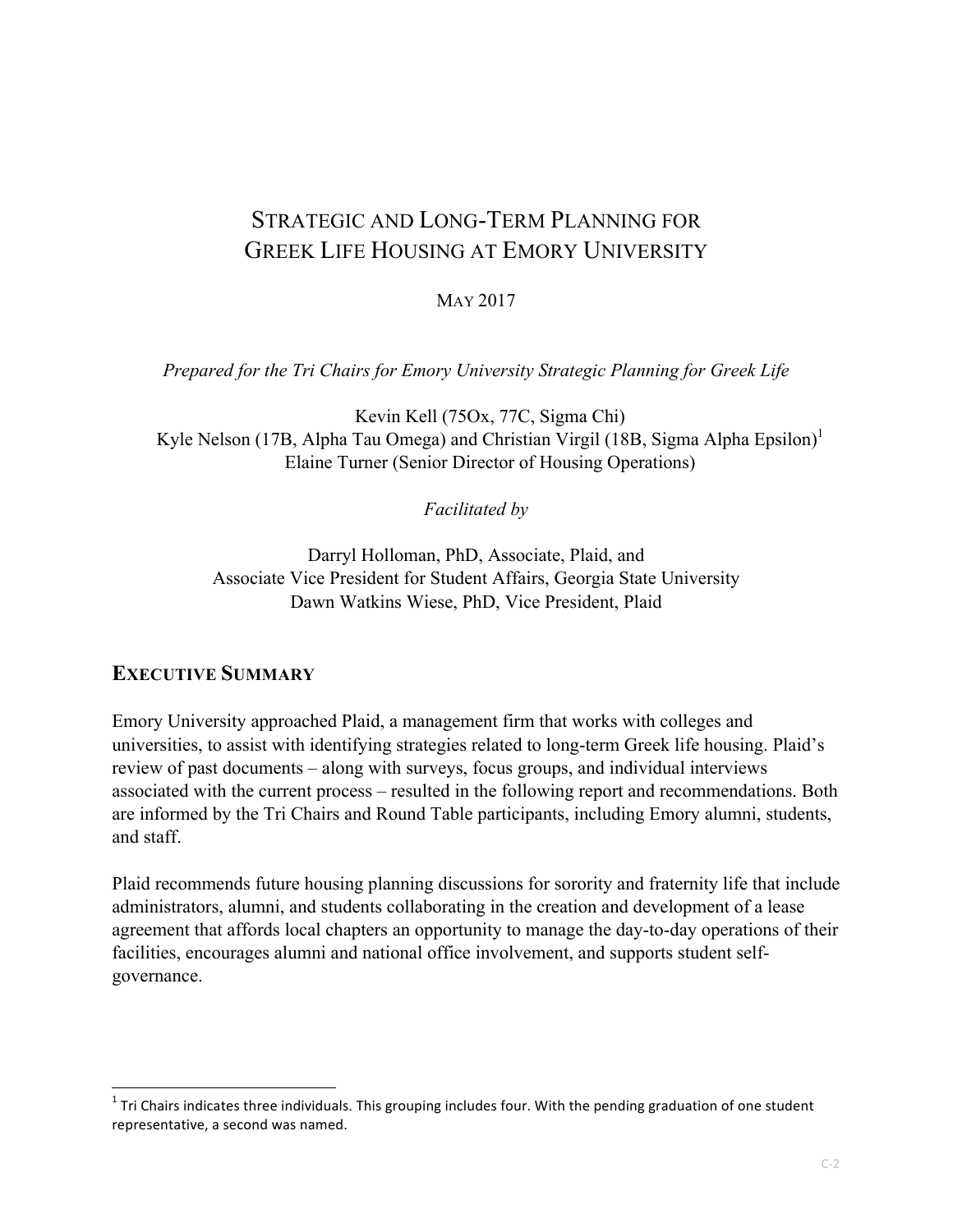# STRATEGIC AND LONG-TERM PLANNING FOR GREEK LIFE HOUSING AT EMORY UNIVERSITY

#### MAY 2017

*Prepared for the Tri Chairs for Emory University Strategic Planning for Greek Life*

Kevin Kell (75Ox, 77C, Sigma Chi) Kyle Nelson (17B, Alpha Tau Omega) and Christian Virgil (18B, Sigma Alpha Epsilon)<sup>1</sup> Elaine Turner (Senior Director of Housing Operations)

*Facilitated by*

Darryl Holloman, PhD, Associate, Plaid, and Associate Vice President for Student Affairs, Georgia State University Dawn Watkins Wiese, PhD, Vice President, Plaid

#### **EXECUTIVE SUMMARY**

<u> 1989 - Johann Stein, markin film yn y breninn y breninn y breninn y breninn y breninn y breninn y breninn y b</u>

Emory University approached Plaid, a management firm that works with colleges and universities, to assist with identifying strategies related to long-term Greek life housing. Plaid's review of past documents – along with surveys, focus groups, and individual interviews associated with the current process – resulted in the following report and recommendations. Both are informed by the Tri Chairs and Round Table participants, including Emory alumni, students, and staff.

Plaid recommends future housing planning discussions for sorority and fraternity life that include administrators, alumni, and students collaborating in the creation and development of a lease agreement that affords local chapters an opportunity to manage the day-to-day operations of their facilities, encourages alumni and national office involvement, and supports student selfgovernance.

 $1$  Tri Chairs indicates three individuals. This grouping includes four. With the pending graduation of one student representative, a second was named.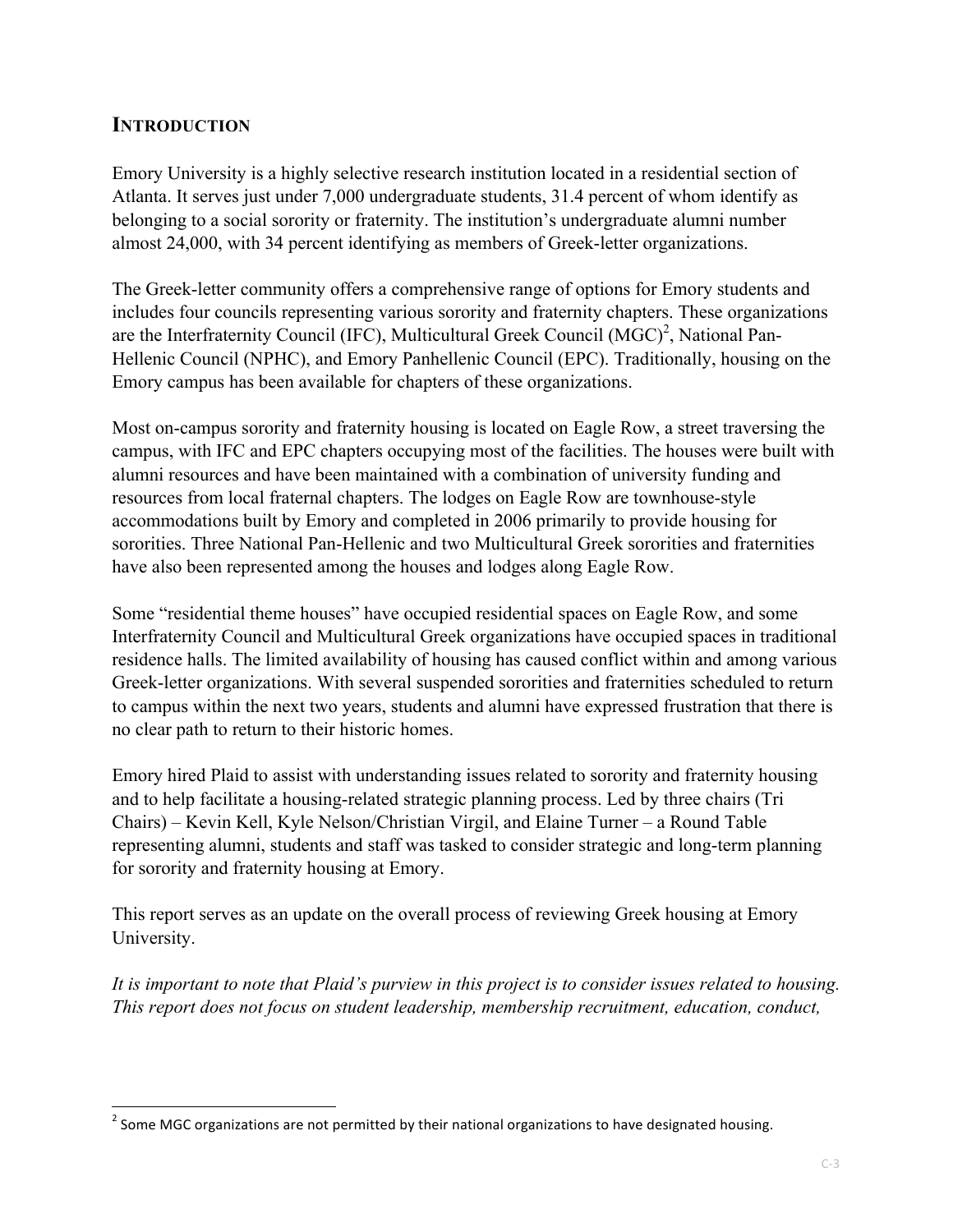## **INTRODUCTION**

Emory University is a highly selective research institution located in a residential section of Atlanta. It serves just under 7,000 undergraduate students, 31.4 percent of whom identify as belonging to a social sorority or fraternity. The institution's undergraduate alumni number almost 24,000, with 34 percent identifying as members of Greek-letter organizations.

The Greek-letter community offers a comprehensive range of options for Emory students and includes four councils representing various sorority and fraternity chapters. These organizations are the Interfraternity Council (IFC), Multicultural Greek Council  $(MGC)^2$ , National Pan-Hellenic Council (NPHC), and Emory Panhellenic Council (EPC). Traditionally, housing on the Emory campus has been available for chapters of these organizations.

Most on-campus sorority and fraternity housing is located on Eagle Row, a street traversing the campus, with IFC and EPC chapters occupying most of the facilities. The houses were built with alumni resources and have been maintained with a combination of university funding and resources from local fraternal chapters. The lodges on Eagle Row are townhouse-style accommodations built by Emory and completed in 2006 primarily to provide housing for sororities. Three National Pan-Hellenic and two Multicultural Greek sororities and fraternities have also been represented among the houses and lodges along Eagle Row.

Some "residential theme houses" have occupied residential spaces on Eagle Row, and some Interfraternity Council and Multicultural Greek organizations have occupied spaces in traditional residence halls. The limited availability of housing has caused conflict within and among various Greek-letter organizations. With several suspended sororities and fraternities scheduled to return to campus within the next two years, students and alumni have expressed frustration that there is no clear path to return to their historic homes.

Emory hired Plaid to assist with understanding issues related to sorority and fraternity housing and to help facilitate a housing-related strategic planning process. Led by three chairs (Tri Chairs) – Kevin Kell, Kyle Nelson/Christian Virgil, and Elaine Turner – a Round Table representing alumni, students and staff was tasked to consider strategic and long-term planning for sorority and fraternity housing at Emory.

This report serves as an update on the overall process of reviewing Greek housing at Emory University.

*It is important to note that Plaid's purview in this project is to consider issues related to housing. This report does not focus on student leadership, membership recruitment, education, conduct,*

<u> 1989 - Johann Stein, markin film yn y breninn y breninn y breninn y breninn y breninn y breninn y breninn y b</u>

<sup>&</sup>lt;sup>2</sup> Some MGC organizations are not permitted by their national organizations to have designated housing.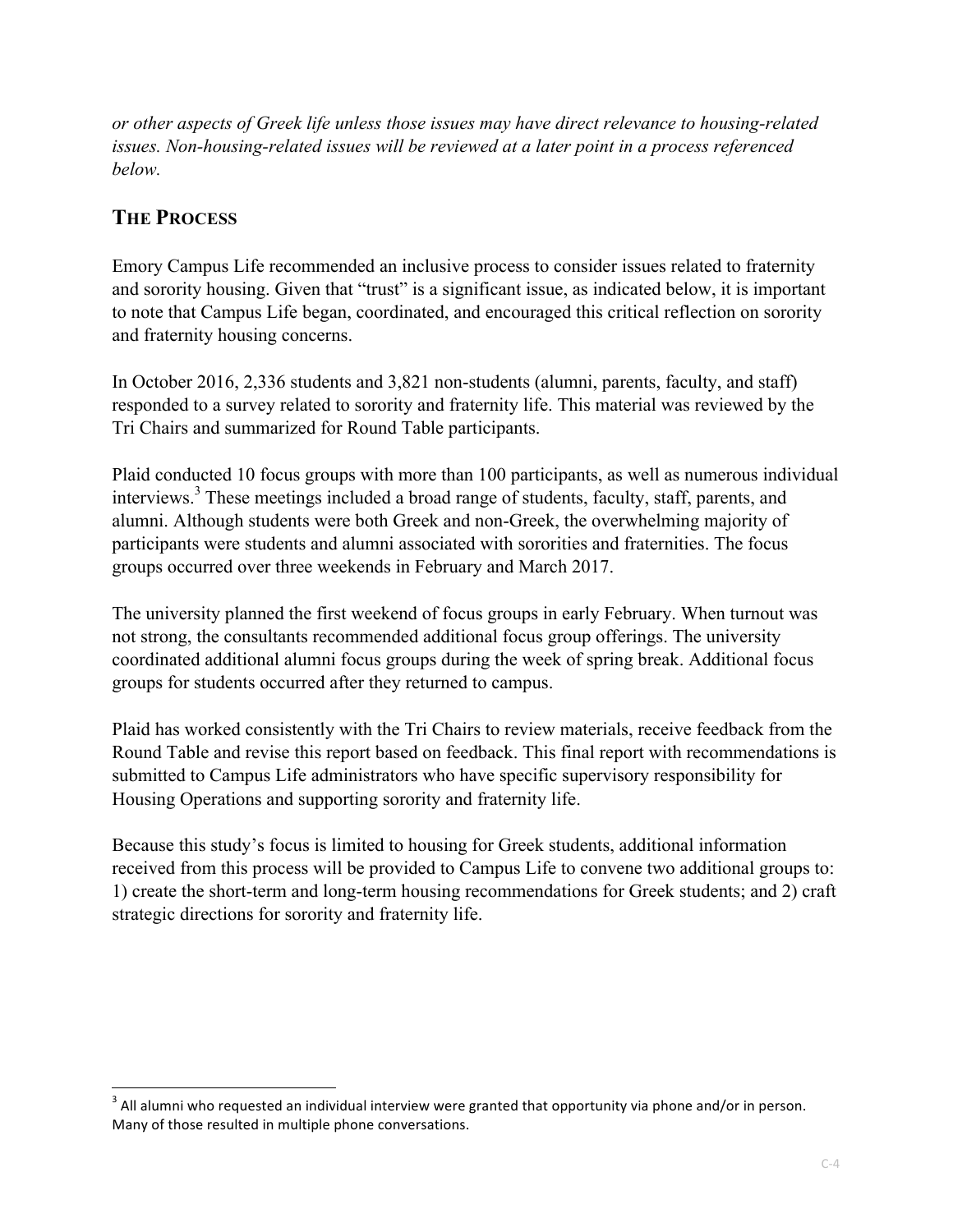*or other aspects of Greek life unless those issues may have direct relevance to housing-related issues. Non-housing-related issues will be reviewed at a later point in a process referenced below.*

## **THE PROCESS**

<u> 1989 - Johann Stein, markin film yn y breninn y breninn y breninn y breninn y breninn y breninn y breninn y b</u>

Emory Campus Life recommended an inclusive process to consider issues related to fraternity and sorority housing. Given that "trust" is a significant issue, as indicated below, it is important to note that Campus Life began, coordinated, and encouraged this critical reflection on sorority and fraternity housing concerns.

In October 2016, 2,336 students and 3,821 non-students (alumni, parents, faculty, and staff) responded to a survey related to sorority and fraternity life. This material was reviewed by the Tri Chairs and summarized for Round Table participants.

Plaid conducted 10 focus groups with more than 100 participants, as well as numerous individual interviews. <sup>3</sup> These meetings included a broad range of students, faculty, staff, parents, and alumni. Although students were both Greek and non-Greek, the overwhelming majority of participants were students and alumni associated with sororities and fraternities. The focus groups occurred over three weekends in February and March 2017.

The university planned the first weekend of focus groups in early February. When turnout was not strong, the consultants recommended additional focus group offerings. The university coordinated additional alumni focus groups during the week of spring break. Additional focus groups for students occurred after they returned to campus.

Plaid has worked consistently with the Tri Chairs to review materials, receive feedback from the Round Table and revise this report based on feedback. This final report with recommendations is submitted to Campus Life administrators who have specific supervisory responsibility for Housing Operations and supporting sorority and fraternity life.

Because this study's focus is limited to housing for Greek students, additional information received from this process will be provided to Campus Life to convene two additional groups to: 1) create the short-term and long-term housing recommendations for Greek students; and 2) craft strategic directions for sorority and fraternity life.

 $3$  All alumni who requested an individual interview were granted that opportunity via phone and/or in person. Many of those resulted in multiple phone conversations.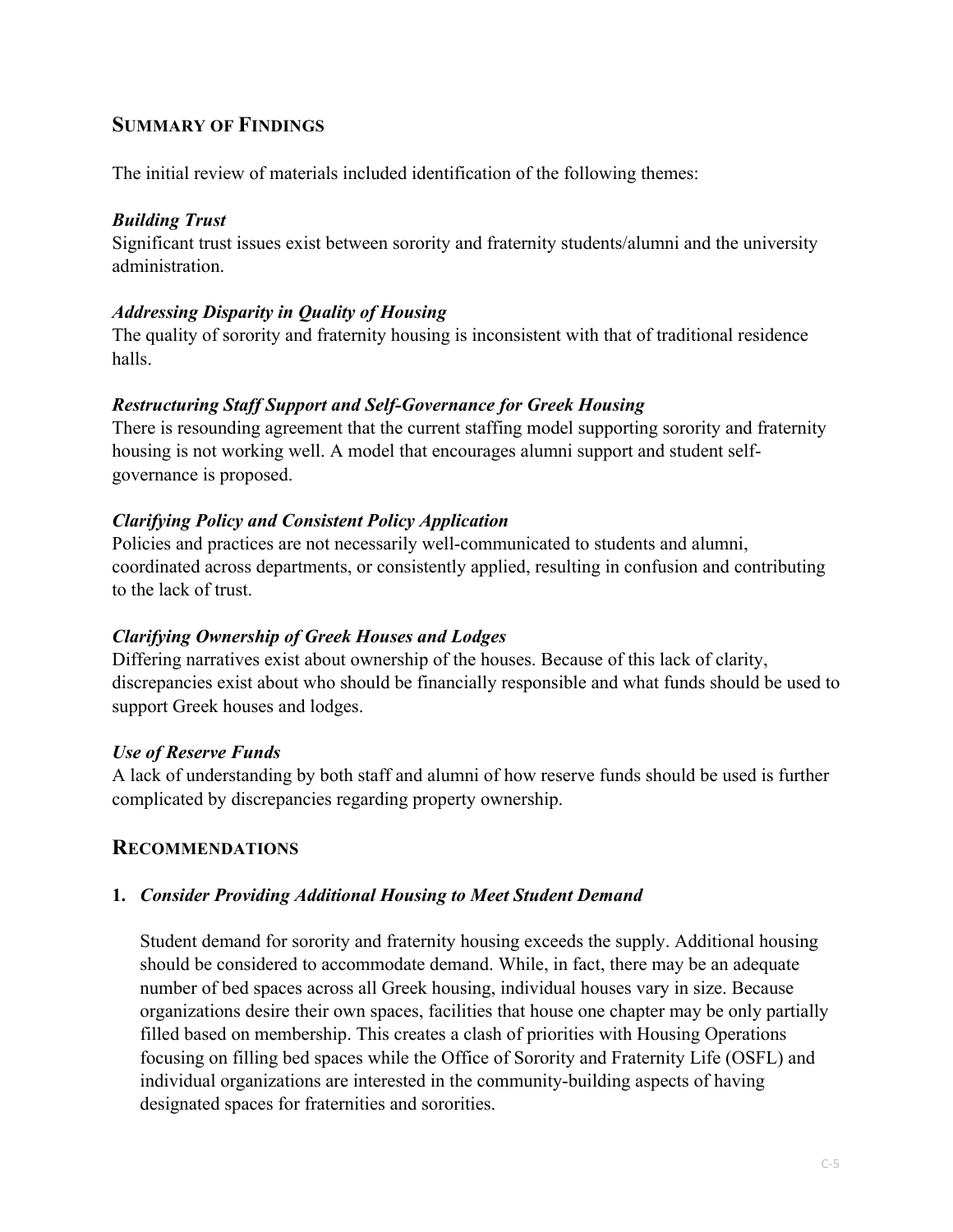## **SUMMARY OF FINDINGS**

The initial review of materials included identification of the following themes:

#### *Building Trust*

Significant trust issues exist between sorority and fraternity students/alumni and the university administration.

## *Addressing Disparity in Quality of Housing*

The quality of sorority and fraternity housing is inconsistent with that of traditional residence halls.

## *Restructuring Staff Support and Self-Governance for Greek Housing*

There is resounding agreement that the current staffing model supporting sorority and fraternity housing is not working well. A model that encourages alumni support and student selfgovernance is proposed.

## *Clarifying Policy and Consistent Policy Application*

Policies and practices are not necessarily well-communicated to students and alumni, coordinated across departments, or consistently applied, resulting in confusion and contributing to the lack of trust.

## *Clarifying Ownership of Greek Houses and Lodges*

Differing narratives exist about ownership of the houses. Because of this lack of clarity, discrepancies exist about who should be financially responsible and what funds should be used to support Greek houses and lodges.

#### *Use of Reserve Funds*

A lack of understanding by both staff and alumni of how reserve funds should be used is further complicated by discrepancies regarding property ownership.

## **RECOMMENDATIONS**

#### **1.** *Consider Providing Additional Housing to Meet Student Demand*

Student demand for sorority and fraternity housing exceeds the supply. Additional housing should be considered to accommodate demand. While, in fact, there may be an adequate number of bed spaces across all Greek housing, individual houses vary in size. Because organizations desire their own spaces, facilities that house one chapter may be only partially filled based on membership. This creates a clash of priorities with Housing Operations focusing on filling bed spaces while the Office of Sorority and Fraternity Life (OSFL) and individual organizations are interested in the community-building aspects of having designated spaces for fraternities and sororities.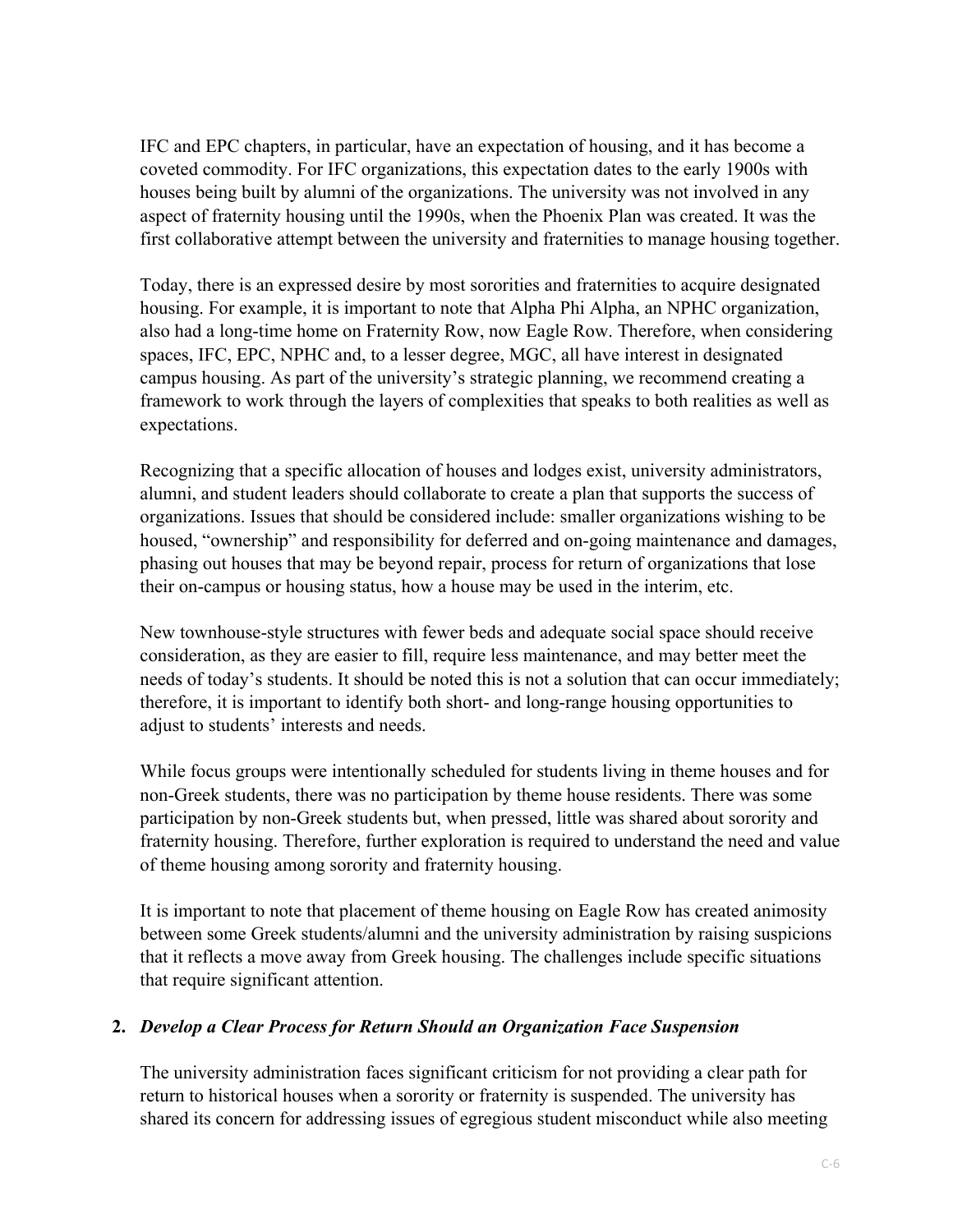IFC and EPC chapters, in particular, have an expectation of housing, and it has become a coveted commodity. For IFC organizations, this expectation dates to the early 1900s with houses being built by alumni of the organizations. The university was not involved in any aspect of fraternity housing until the 1990s, when the Phoenix Plan was created. It was the first collaborative attempt between the university and fraternities to manage housing together.

Today, there is an expressed desire by most sororities and fraternities to acquire designated housing. For example, it is important to note that Alpha Phi Alpha, an NPHC organization, also had a long-time home on Fraternity Row, now Eagle Row. Therefore, when considering spaces, IFC, EPC, NPHC and, to a lesser degree, MGC, all have interest in designated campus housing. As part of the university's strategic planning, we recommend creating a framework to work through the layers of complexities that speaks to both realities as well as expectations.

Recognizing that a specific allocation of houses and lodges exist, university administrators, alumni, and student leaders should collaborate to create a plan that supports the success of organizations. Issues that should be considered include: smaller organizations wishing to be housed, "ownership" and responsibility for deferred and on-going maintenance and damages, phasing out houses that may be beyond repair, process for return of organizations that lose their on-campus or housing status, how a house may be used in the interim, etc.

New townhouse-style structures with fewer beds and adequate social space should receive consideration, as they are easier to fill, require less maintenance, and may better meet the needs of today's students. It should be noted this is not a solution that can occur immediately; therefore, it is important to identify both short- and long-range housing opportunities to adjust to students' interests and needs.

While focus groups were intentionally scheduled for students living in theme houses and for non-Greek students, there was no participation by theme house residents. There was some participation by non-Greek students but, when pressed, little was shared about sorority and fraternity housing. Therefore, further exploration is required to understand the need and value of theme housing among sorority and fraternity housing.

It is important to note that placement of theme housing on Eagle Row has created animosity between some Greek students/alumni and the university administration by raising suspicions that it reflects a move away from Greek housing. The challenges include specific situations that require significant attention.

#### **2.** *Develop a Clear Process for Return Should an Organization Face Suspension*

The university administration faces significant criticism for not providing a clear path for return to historical houses when a sorority or fraternity is suspended. The university has shared its concern for addressing issues of egregious student misconduct while also meeting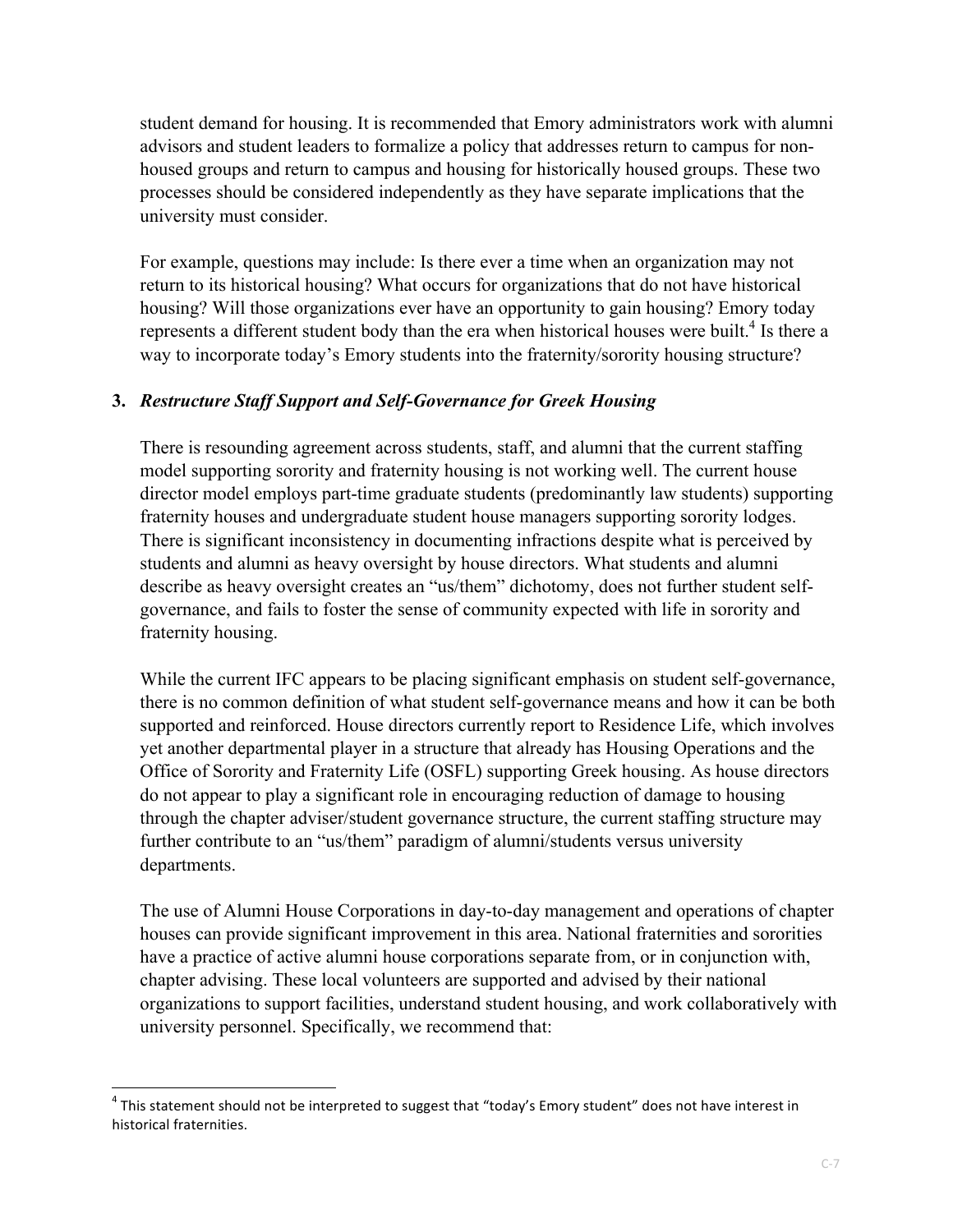student demand for housing. It is recommended that Emory administrators work with alumni advisors and student leaders to formalize a policy that addresses return to campus for nonhoused groups and return to campus and housing for historically housed groups. These two processes should be considered independently as they have separate implications that the university must consider.

For example, questions may include: Is there ever a time when an organization may not return to its historical housing? What occurs for organizations that do not have historical housing? Will those organizations ever have an opportunity to gain housing? Emory today represents a different student body than the era when historical houses were built.<sup>4</sup> Is there a way to incorporate today's Emory students into the fraternity/sorority housing structure?

## **3.** *Restructure Staff Support and Self-Governance for Greek Housing*

There is resounding agreement across students, staff, and alumni that the current staffing model supporting sorority and fraternity housing is not working well. The current house director model employs part-time graduate students (predominantly law students) supporting fraternity houses and undergraduate student house managers supporting sorority lodges. There is significant inconsistency in documenting infractions despite what is perceived by students and alumni as heavy oversight by house directors. What students and alumni describe as heavy oversight creates an "us/them" dichotomy, does not further student selfgovernance, and fails to foster the sense of community expected with life in sorority and fraternity housing.

While the current IFC appears to be placing significant emphasis on student self-governance, there is no common definition of what student self-governance means and how it can be both supported and reinforced. House directors currently report to Residence Life, which involves yet another departmental player in a structure that already has Housing Operations and the Office of Sorority and Fraternity Life (OSFL) supporting Greek housing. As house directors do not appear to play a significant role in encouraging reduction of damage to housing through the chapter adviser/student governance structure, the current staffing structure may further contribute to an "us/them" paradigm of alumni/students versus university departments.

The use of Alumni House Corporations in day-to-day management and operations of chapter houses can provide significant improvement in this area. National fraternities and sororities have a practice of active alumni house corporations separate from, or in conjunction with, chapter advising. These local volunteers are supported and advised by their national organizations to support facilities, understand student housing, and work collaboratively with university personnel. Specifically, we recommend that:

<u> 1989 - Johann Stein, markin film yn y breninn y breninn y breninn y breninn y breninn y breninn y breninn y b</u>

 $4$  This statement should not be interpreted to suggest that "today's Emory student" does not have interest in historical fraternities.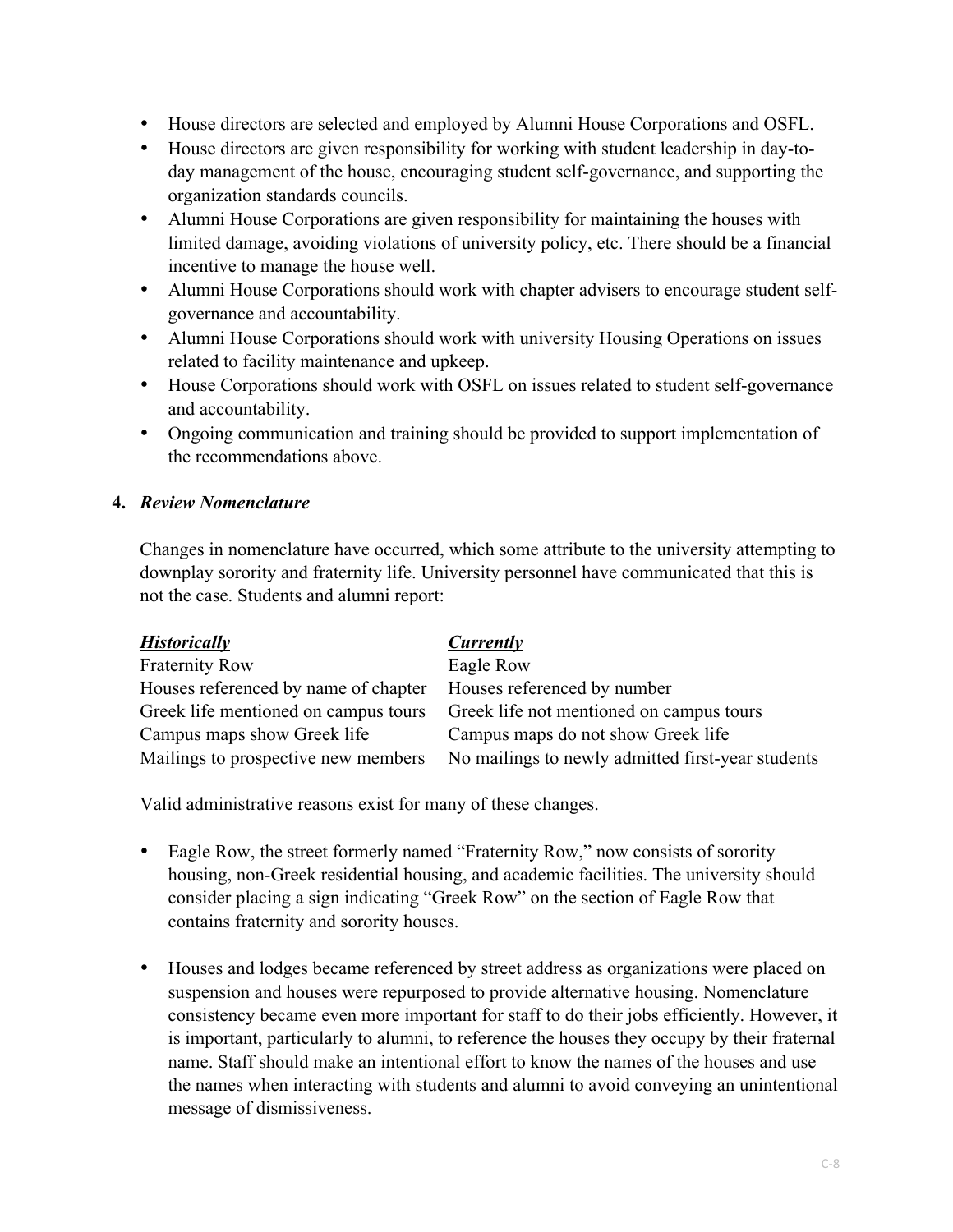- House directors are selected and employed by Alumni House Corporations and OSFL.
- House directors are given responsibility for working with student leadership in day-today management of the house, encouraging student self-governance, and supporting the organization standards councils.
- Alumni House Corporations are given responsibility for maintaining the houses with limited damage, avoiding violations of university policy, etc. There should be a financial incentive to manage the house well.
- Alumni House Corporations should work with chapter advisers to encourage student selfgovernance and accountability.
- Alumni House Corporations should work with university Housing Operations on issues related to facility maintenance and upkeep.
- House Corporations should work with OSFL on issues related to student self-governance and accountability.
- Ongoing communication and training should be provided to support implementation of the recommendations above.

## **4.** *Review Nomenclature*

Changes in nomenclature have occurred, which some attribute to the university attempting to downplay sorority and fraternity life. University personnel have communicated that this is not the case. Students and alumni report:

| <b>Historically</b>                  | Currently                                         |
|--------------------------------------|---------------------------------------------------|
| <b>Fraternity Row</b>                | Eagle Row                                         |
| Houses referenced by name of chapter | Houses referenced by number                       |
| Greek life mentioned on campus tours | Greek life not mentioned on campus tours          |
| Campus maps show Greek life          | Campus maps do not show Greek life                |
| Mailings to prospective new members  | No mailings to newly admitted first-year students |

Valid administrative reasons exist for many of these changes.

- Eagle Row, the street formerly named "Fraternity Row," now consists of sorority housing, non-Greek residential housing, and academic facilities. The university should consider placing a sign indicating "Greek Row" on the section of Eagle Row that contains fraternity and sorority houses.
- Houses and lodges became referenced by street address as organizations were placed on suspension and houses were repurposed to provide alternative housing. Nomenclature consistency became even more important for staff to do their jobs efficiently. However, it is important, particularly to alumni, to reference the houses they occupy by their fraternal name. Staff should make an intentional effort to know the names of the houses and use the names when interacting with students and alumni to avoid conveying an unintentional message of dismissiveness.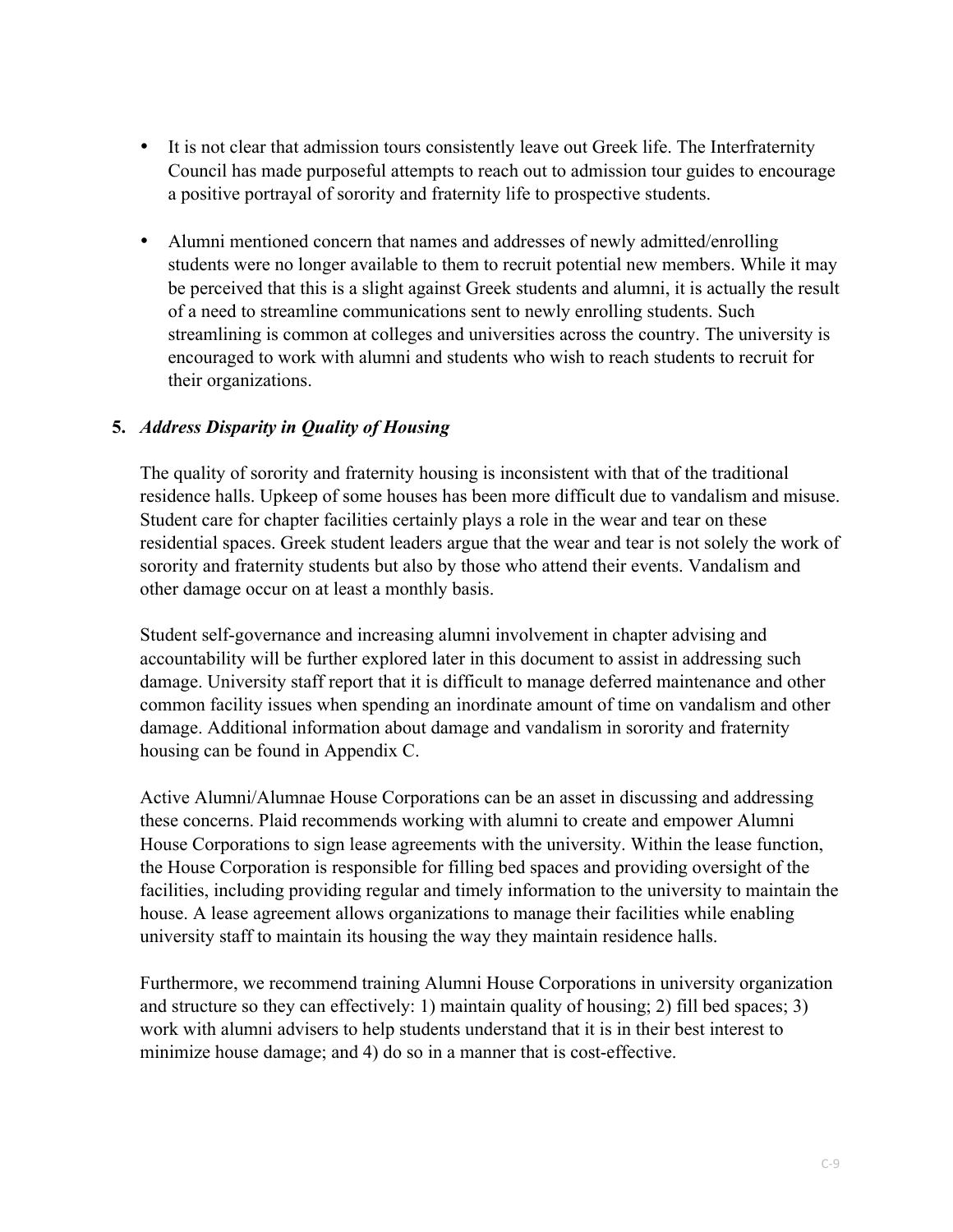- It is not clear that admission tours consistently leave out Greek life. The Interfraternity Council has made purposeful attempts to reach out to admission tour guides to encourage a positive portrayal of sorority and fraternity life to prospective students.
- Alumni mentioned concern that names and addresses of newly admitted/enrolling students were no longer available to them to recruit potential new members. While it may be perceived that this is a slight against Greek students and alumni, it is actually the result of a need to streamline communications sent to newly enrolling students. Such streamlining is common at colleges and universities across the country. The university is encouraged to work with alumni and students who wish to reach students to recruit for their organizations.

#### **5.** *Address Disparity in Quality of Housing*

The quality of sorority and fraternity housing is inconsistent with that of the traditional residence halls. Upkeep of some houses has been more difficult due to vandalism and misuse. Student care for chapter facilities certainly plays a role in the wear and tear on these residential spaces. Greek student leaders argue that the wear and tear is not solely the work of sorority and fraternity students but also by those who attend their events. Vandalism and other damage occur on at least a monthly basis.

Student self-governance and increasing alumni involvement in chapter advising and accountability will be further explored later in this document to assist in addressing such damage. University staff report that it is difficult to manage deferred maintenance and other common facility issues when spending an inordinate amount of time on vandalism and other damage. Additional information about damage and vandalism in sorority and fraternity housing can be found in Appendix C.

Active Alumni/Alumnae House Corporations can be an asset in discussing and addressing these concerns. Plaid recommends working with alumni to create and empower Alumni House Corporations to sign lease agreements with the university. Within the lease function, the House Corporation is responsible for filling bed spaces and providing oversight of the facilities, including providing regular and timely information to the university to maintain the house. A lease agreement allows organizations to manage their facilities while enabling university staff to maintain its housing the way they maintain residence halls.

Furthermore, we recommend training Alumni House Corporations in university organization and structure so they can effectively: 1) maintain quality of housing; 2) fill bed spaces; 3) work with alumni advisers to help students understand that it is in their best interest to minimize house damage; and 4) do so in a manner that is cost-effective.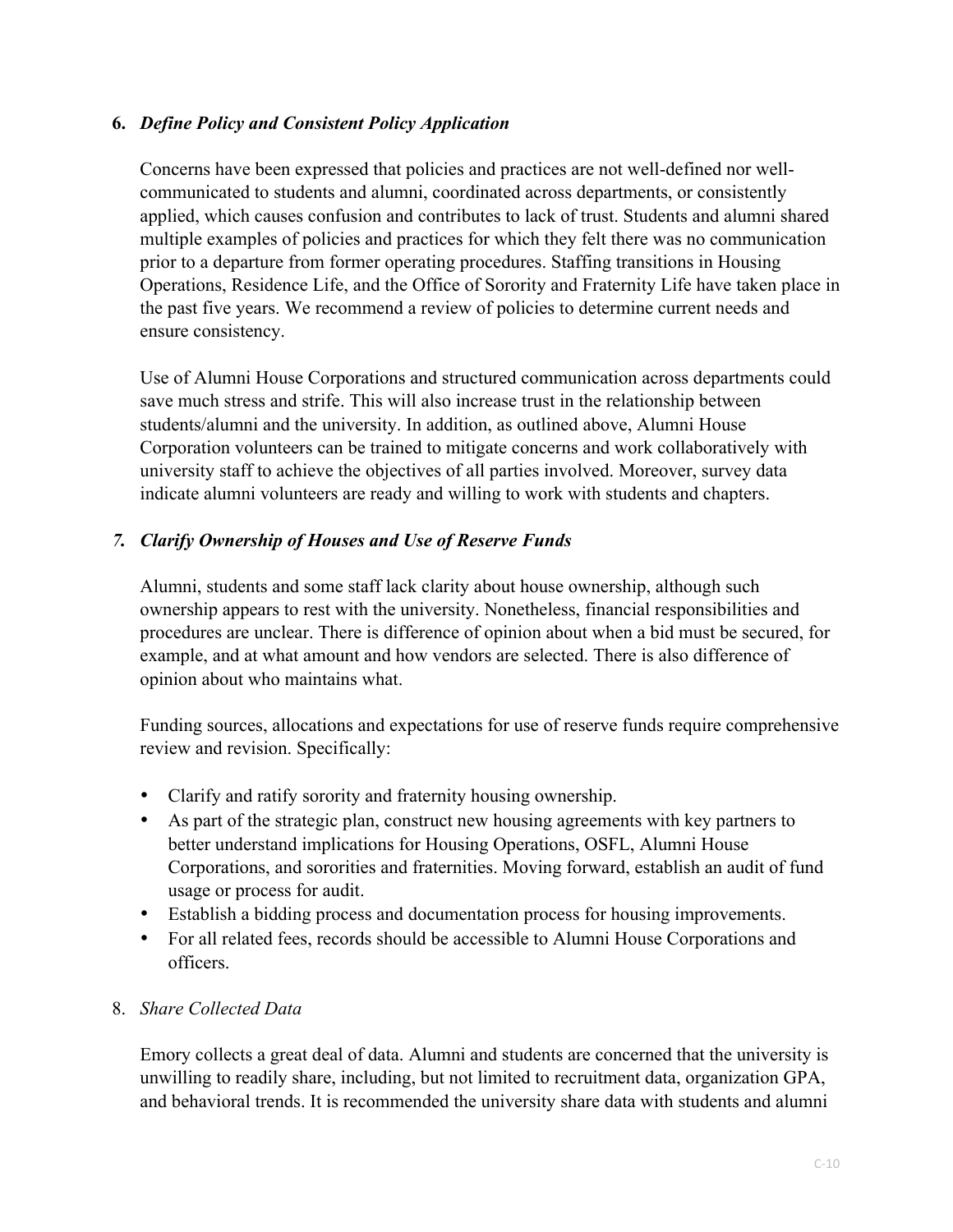## **6.** *Define Policy and Consistent Policy Application*

Concerns have been expressed that policies and practices are not well-defined nor wellcommunicated to students and alumni, coordinated across departments, or consistently applied, which causes confusion and contributes to lack of trust. Students and alumni shared multiple examples of policies and practices for which they felt there was no communication prior to a departure from former operating procedures. Staffing transitions in Housing Operations, Residence Life, and the Office of Sorority and Fraternity Life have taken place in the past five years. We recommend a review of policies to determine current needs and ensure consistency.

Use of Alumni House Corporations and structured communication across departments could save much stress and strife. This will also increase trust in the relationship between students/alumni and the university. In addition, as outlined above, Alumni House Corporation volunteers can be trained to mitigate concerns and work collaboratively with university staff to achieve the objectives of all parties involved. Moreover, survey data indicate alumni volunteers are ready and willing to work with students and chapters.

## *7. Clarify Ownership of Houses and Use of Reserve Funds*

Alumni, students and some staff lack clarity about house ownership, although such ownership appears to rest with the university. Nonetheless, financial responsibilities and procedures are unclear. There is difference of opinion about when a bid must be secured, for example, and at what amount and how vendors are selected. There is also difference of opinion about who maintains what.

Funding sources, allocations and expectations for use of reserve funds require comprehensive review and revision. Specifically:

- Clarify and ratify sorority and fraternity housing ownership.
- As part of the strategic plan, construct new housing agreements with key partners to better understand implications for Housing Operations, OSFL, Alumni House Corporations, and sororities and fraternities. Moving forward, establish an audit of fund usage or process for audit.
- Establish a bidding process and documentation process for housing improvements.
- For all related fees, records should be accessible to Alumni House Corporations and officers.

#### 8. *Share Collected Data*

Emory collects a great deal of data. Alumni and students are concerned that the university is unwilling to readily share, including, but not limited to recruitment data, organization GPA, and behavioral trends. It is recommended the university share data with students and alumni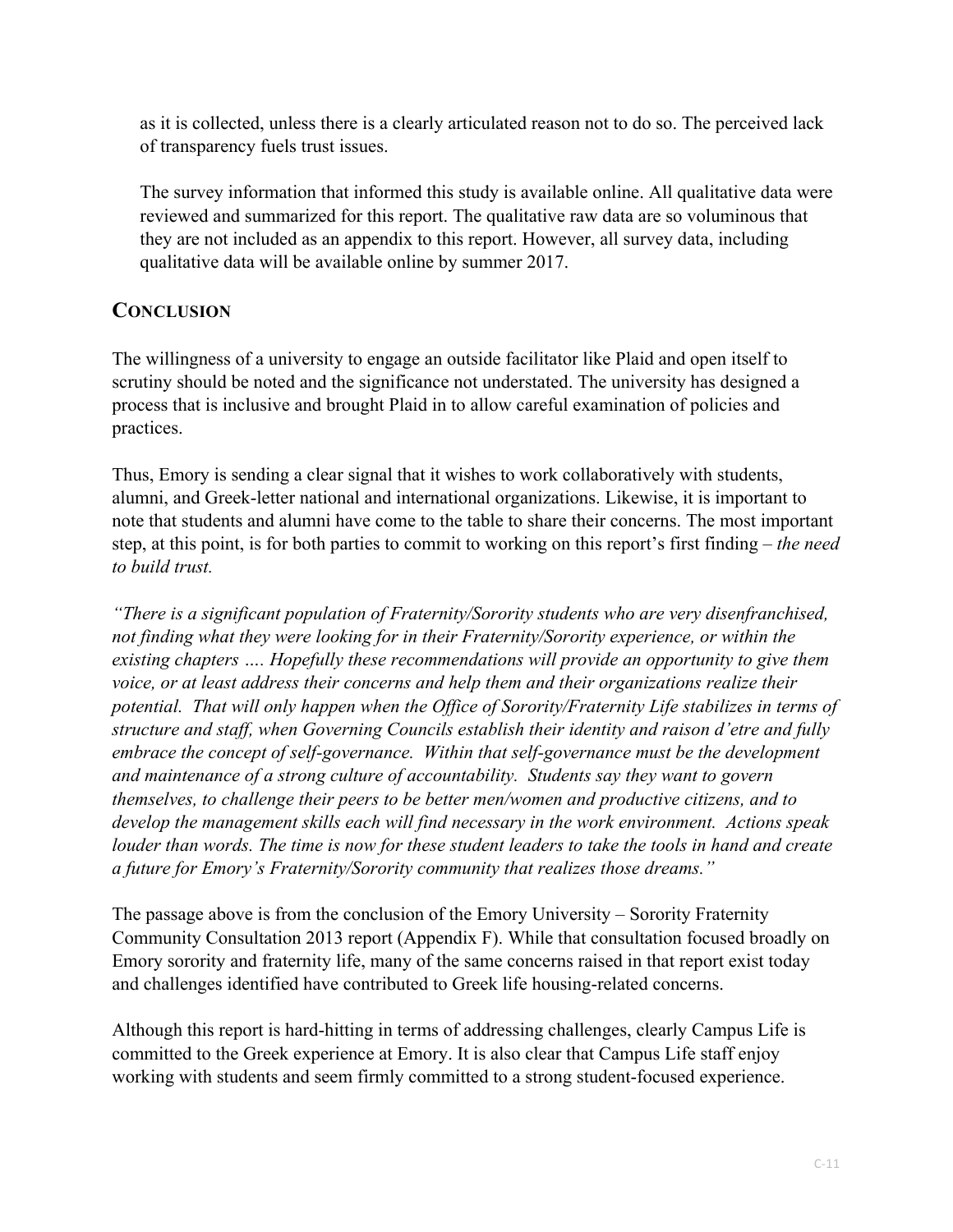as it is collected, unless there is a clearly articulated reason not to do so. The perceived lack of transparency fuels trust issues.

The survey information that informed this study is available online. All qualitative data were reviewed and summarized for this report. The qualitative raw data are so voluminous that they are not included as an appendix to this report. However, all survey data, including qualitative data will be available online by summer 2017.

## **CONCLUSION**

The willingness of a university to engage an outside facilitator like Plaid and open itself to scrutiny should be noted and the significance not understated. The university has designed a process that is inclusive and brought Plaid in to allow careful examination of policies and practices.

Thus, Emory is sending a clear signal that it wishes to work collaboratively with students, alumni, and Greek-letter national and international organizations. Likewise, it is important to note that students and alumni have come to the table to share their concerns. The most important step, at this point, is for both parties to commit to working on this report's first finding – *the need to build trust.*

*"There is a significant population of Fraternity/Sorority students who are very disenfranchised, not finding what they were looking for in their Fraternity/Sorority experience, or within the existing chapters …. Hopefully these recommendations will provide an opportunity to give them voice, or at least address their concerns and help them and their organizations realize their potential. That will only happen when the Office of Sorority/Fraternity Life stabilizes in terms of structure and staff, when Governing Councils establish their identity and raison d'etre and fully embrace the concept of self-governance. Within that self-governance must be the development and maintenance of a strong culture of accountability. Students say they want to govern themselves, to challenge their peers to be better men/women and productive citizens, and to develop the management skills each will find necessary in the work environment. Actions speak louder than words. The time is now for these student leaders to take the tools in hand and create a future for Emory's Fraternity/Sorority community that realizes those dreams."*

The passage above is from the conclusion of the Emory University – Sorority Fraternity Community Consultation 2013 report (Appendix F). While that consultation focused broadly on Emory sorority and fraternity life, many of the same concerns raised in that report exist today and challenges identified have contributed to Greek life housing-related concerns.

Although this report is hard-hitting in terms of addressing challenges, clearly Campus Life is committed to the Greek experience at Emory. It is also clear that Campus Life staff enjoy working with students and seem firmly committed to a strong student-focused experience.